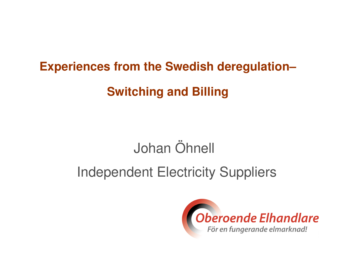# **Experiences from the Swedish deregulation–Switching and Billing**

## Johan Öhnell

## Independent Electricity Suppliers

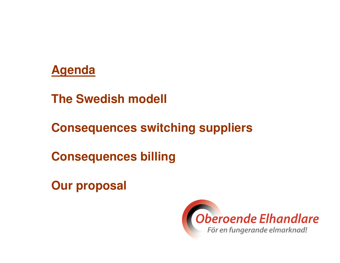#### **Agenda**

**The Swedish modell**

**Consequences switching suppliers**

**Consequences billing**

**Our proposal**

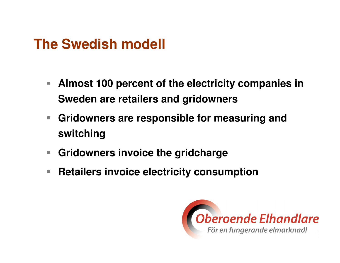#### **The Swedish modell**

- $\overline{\mathbb{R}^n}$  **Almost 100 percent of the electricity companies in Sweden are retailers and gridowners**
- **Gridowners are responsible for measuring and switching**
- $\overline{\phantom{a}}$ **Gridowners invoice the gridcharge**
- $\mathcal{L}_{\mathcal{A}}$ **Retailers invoice electricity consumption**

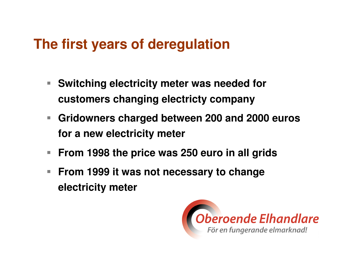#### **The first years of deregulation**

- $\mathcal{L}_{\mathcal{A}}$  **Switching electricity meter was needed for customers changing electricty company**
- **Gridowners charged between 200 and 2000 euros for a new electricity meter**
- $\mathbb{R}^n$ **From 1998 the price was 250 euro in all grids**
- $\mathcal{L}_{\mathcal{A}}$  **From 1999 it was not necessary to changeelectricity meter**

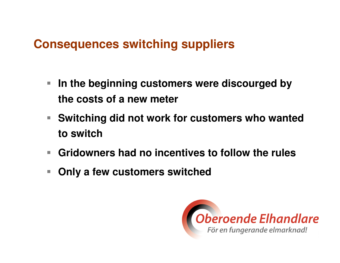#### **Consequences switching suppliers**

- $\mathcal{L}_{\mathcal{A}}$  **In the beginning customers were discourged by the costs of a new meter**
- **Switching did not work for customers who wantedto switch**
- **Gridowners had no incentives to follow the rules**
- $\mathcal{C}^{\mathcal{A}}$ **Only a few customers switched**

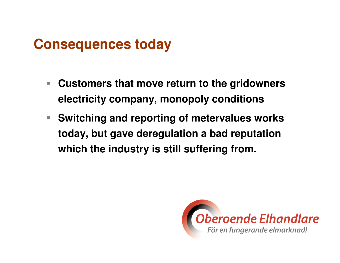#### **Consequences today**

- $\overline{\phantom{a}}$  **Customers that move return to the gridownerselectricity company, monopoly conditions**
- $\mathbb{Z}^{\mathbb{Z}}$  . **Switching and reporting of metervalues workstoday, but gave deregulation a bad reputation which the industry is still suffering from.**

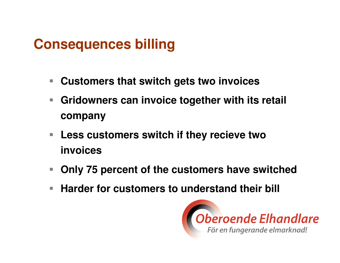#### **Consequences billing**

- **Customers that switch gets two invoices**
- **Gridowners can invoice together with its retail company**
- $\mathcal{L}_{\mathcal{A}}$  **Less customers switch if they recieve twoinvoices**
- **Only 75 percent of the customers have switched**
- Г **Harder for customers to understand their bill**